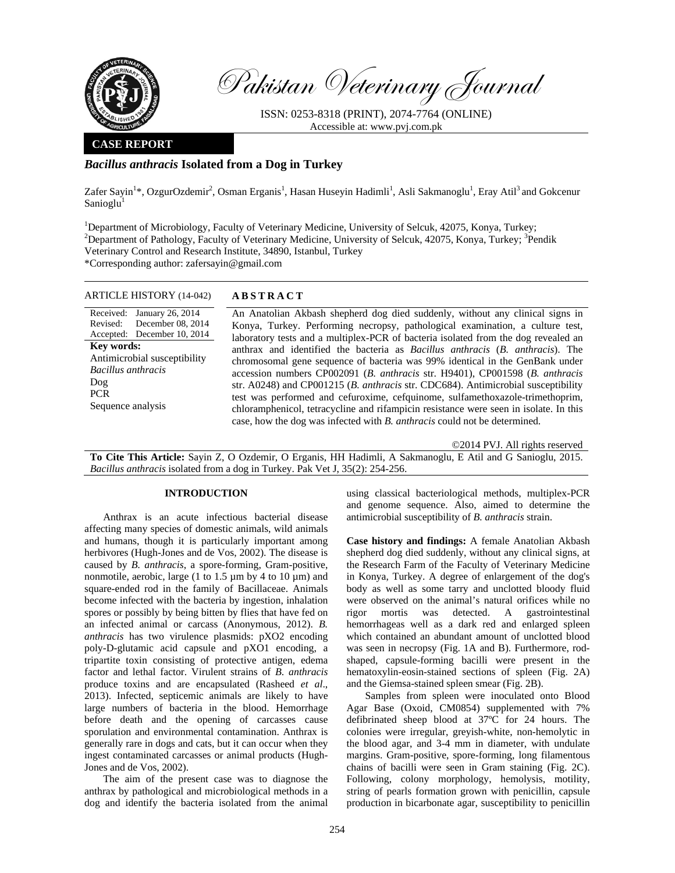

Pakistan Veterinary Journal

ISSN: 0253-8318 (PRINT), 2074-7764 (ONLINE) Accessible at: www.pvj.com.pk

### **CASE REPORT**

# *Bacillus anthracis* **Isolated from a Dog in Turkey**

Zafer Sayin<sup>1\*</sup>, OzgurOzdemir<sup>2</sup>, Osman Erganis<sup>1</sup>, Hasan Huseyin Hadimli<sup>1</sup>, Asli Sakmanoglu<sup>1</sup>, Eray Atil<sup>3</sup> and Gokcenur Sanioglu<sup>1</sup>

<sup>1</sup>Department of Microbiology, Faculty of Veterinary Medicine, University of Selcuk, 42075, Konya, Turkey; <sup>2</sup>Department of Pethology, Faculty of Veterinary Medicine, University of Selcuk, 42075, Konya, Turkey; <sup>3</sup>Departme Department of Pathology, Faculty of Veterinary Medicine, University of Selcuk, 42075, Konya, Turkey; <sup>3</sup>Pendik Veterinary Control and Research Institute, 34890, Istanbul, Turkey \*Corresponding author: zafersayin@gmail.com

| Received:                    | January 26, 2014  |  |  |
|------------------------------|-------------------|--|--|
| Revised:                     | December 08, 2014 |  |  |
| Accepted:                    | December 10, 2014 |  |  |
| Key words:                   |                   |  |  |
| Antimicrobial susceptibility |                   |  |  |
| Bacillus anthracis           |                   |  |  |
| Dog                          |                   |  |  |
| <b>PCR</b>                   |                   |  |  |
| Sequence analysis            |                   |  |  |
|                              |                   |  |  |

### ARTICLE HISTORY (14-042) **ABSTRACT**

 An Anatolian Akbash shepherd dog died suddenly, without any clinical signs in Konya, Turkey. Performing necropsy, pathological examination, a culture test, laboratory tests and a multiplex-PCR of bacteria isolated from the dog revealed an anthrax and identified the bacteria as *Bacillus anthracis* (*B. anthracis*). The chromosomal gene sequence of bacteria was 99% identical in the GenBank under accession numbers CP002091 (*B. anthracis* str. H9401), CP001598 (*B. anthracis*  str. A0248) and CP001215 (*B. anthracis* str. CDC684). Antimicrobial susceptibility test was performed and cefuroxime, cefquinome, sulfamethoxazole-trimethoprim, chloramphenicol, tetracycline and rifampicin resistance were seen in isolate. In this case, how the dog was infected with *B. anthracis* could not be determined.

©2014 PVJ. All rights reserved

**To Cite This Article:** Sayin Z, O Ozdemir, O Erganis, HH Hadimli, A Sakmanoglu, E Atil and G Sanioglu, 2015. *Bacillus anthracis* isolated from a dog in Turkey. Pak Vet J, 35(2): 254-256.

## **INTRODUCTION**

Anthrax is an acute infectious bacterial disease affecting many species of domestic animals, wild animals and humans, though it is particularly important among herbivores (Hugh-Jones and de Vos, 2002). The disease is caused by *B. anthracis*, a spore-forming, Gram-positive, nonmotile, aerobic, large (1 to 1.5  $\mu$ m by 4 to 10  $\mu$ m) and square-ended rod in the family of Bacillaceae. Animals become infected with the bacteria by ingestion, inhalation spores or possibly by being bitten by flies that have fed on an infected animal or carcass (Anonymous, 2012). *B. anthracis* has two virulence plasmids: pXO2 encoding poly-D-glutamic acid capsule and pXO1 encoding, a tripartite toxin consisting of protective antigen, edema factor and lethal factor. Virulent strains of *B*. *anthracis*  produce toxins and are encapsulated (Rasheed *et al*., 2013). Infected, septicemic animals are likely to have large numbers of bacteria in the blood. Hemorrhage before death and the opening of carcasses cause sporulation and environmental contamination. Anthrax is generally rare in dogs and cats, but it can occur when they ingest contaminated carcasses or animal products (Hugh-Jones and de Vos, 2002).

The aim of the present case was to diagnose the anthrax by pathological and microbiological methods in a dog and identify the bacteria isolated from the animal using classical bacteriological methods, multiplex-PCR and genome sequence. Also, aimed to determine the antimicrobial susceptibility of *B. anthracis* strain.

**Case history and findings:** A female Anatolian Akbash shepherd dog died suddenly, without any clinical signs, at the Research Farm of the Faculty of Veterinary Medicine in Konya, Turkey. A degree of enlargement of the dog's body as well as some tarry and unclotted bloody fluid were observed on the animal's natural orifices while no rigor mortis was detected. A gastrointestinal hemorrhageas well as a dark red and enlarged spleen which contained an abundant amount of unclotted blood was seen in necropsy (Fig. 1A and B). Furthermore, rodshaped, capsule-forming bacilli were present in the hematoxylin-eosin-stained sections of spleen (Fig. 2A) and the Giemsa-stained spleen smear (Fig. 2B).

Samples from spleen were inoculated onto Blood Agar Base (Oxoid, CM0854) supplemented with 7% defibrinated sheep blood at 37ºC for 24 hours. The colonies were irregular, greyish-white, non-hemolytic in the blood agar, and 3-4 mm in diameter, with undulate margins. Gram-positive, spore-forming, long filamentous chains of bacilli were seen in Gram staining (Fig. 2C). Following, colony morphology, hemolysis, motility, string of pearls formation grown with penicillin, capsule production in bicarbonate agar, susceptibility to penicillin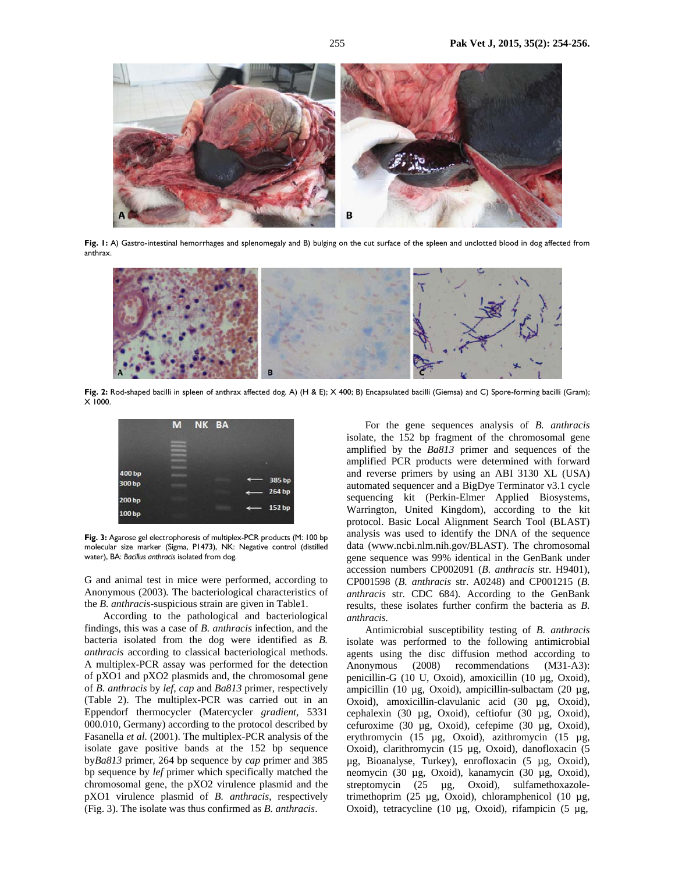

Fig. I: A) Gastro-intestinal hemorrhages and splenomegaly and B) bulging on the cut surface of the spleen and unclotted blood in dog affected from anthrax.



**Fig. 2:** Rod-shaped bacilli in spleen of anthrax affected dog. A) (H & E); X 400; B) Encapsulated bacilli (Giemsa) and C) Spore-forming bacilli (Gram);  $X$  1000.



**Fig. 3:** Agarose gel electrophoresis of multiplex-PCR products (M: 100 bp molecular size marker (Sigma, P1473), NK: Negative control (distilled water), BA: *Bacillus anthracis* isolated from dog.

G and animal test in mice were performed, according to Anonymous (2003)*.* The bacteriological characteristics of the *B. anthracis*-suspicious strain are given in Table1.

According to the pathological and bacteriological findings, this was a case of *B. anthracis* infection, and the bacteria isolated from the dog were identified as *B. anthracis* according to classical bacteriological methods. A multiplex-PCR assay was performed for the detection of pXO1 and pXO2 plasmids and, the chromosomal gene of *B. anthracis* by *lef*, *cap* and *Ba813* primer, respectively (Table 2). The multiplex-PCR was carried out in an Eppendorf thermocycler (Matercycler *gradient,* 5331 000.010, Germany) according to the protocol described by Fasanella *et al.* (2001). The multiplex-PCR analysis of the isolate gave positive bands at the 152 bp sequence by*Ba813* primer, 264 bp sequence by *cap* primer and 385 bp sequence by *lef* primer which specifically matched the chromosomal gene, the pXO2 virulence plasmid and the pXO1 virulence plasmid of *B. anthracis*, respectively (Fig. 3). The isolate was thus confirmed as *B. anthracis*.

For the gene sequences analysis of *B. anthracis* isolate, the 152 bp fragment of the chromosomal gene amplified by the *Ba813* primer and sequences of the amplified PCR products were determined with forward and reverse primers by using an ABI 3130 XL (USA) automated sequencer and a BigDye Terminator v3.1 cycle sequencing kit (Perkin-Elmer Applied Biosystems, Warrington, United Kingdom), according to the kit protocol. Basic Local Alignment Search Tool (BLAST) analysis was used to identify the DNA of the sequence data (www.ncbi.nlm.nih.gov/BLAST). The chromosomal gene sequence was 99% identical in the GenBank under accession numbers CP002091 (*B. anthracis* str. H9401), CP001598 (*B. anthracis* str. A0248) and CP001215 (*B. anthracis* str. CDC 684). According to the GenBank results, these isolates further confirm the bacteria as *B. anthracis.* 

Antimicrobial susceptibility testing of *B. anthracis* isolate was performed to the following antimicrobial agents using the disc diffusion method according to Anonymous (2008) recommendations (M31-A3): penicillin-G (10 U, Oxoid), amoxicillin (10 µg, Oxoid), ampicillin (10 µg, Oxoid), ampicillin-sulbactam (20 µg, Oxoid), amoxicillin-clavulanic acid (30 µg, Oxoid), cephalexin (30 µg, Oxoid), ceftiofur (30 µg, Oxoid), cefuroxime (30 µg, Oxoid), cefepime (30 µg, Oxoid), erythromycin (15 µg, Oxoid), azithromycin (15 µg, Oxoid), clarithromycin (15 µg, Oxoid), danofloxacin (5 µg, Bioanalyse, Turkey), enrofloxacin (5 µg, Oxoid), neomycin (30 µg, Oxoid), kanamycin (30 µg, Oxoid), streptomycin (25 µg, Oxoid), sulfamethoxazoletrimethoprim (25 µg, Oxoid), chloramphenicol (10 µg, Oxoid), tetracycline (10 µg, Oxoid), rifampicin (5 µg,